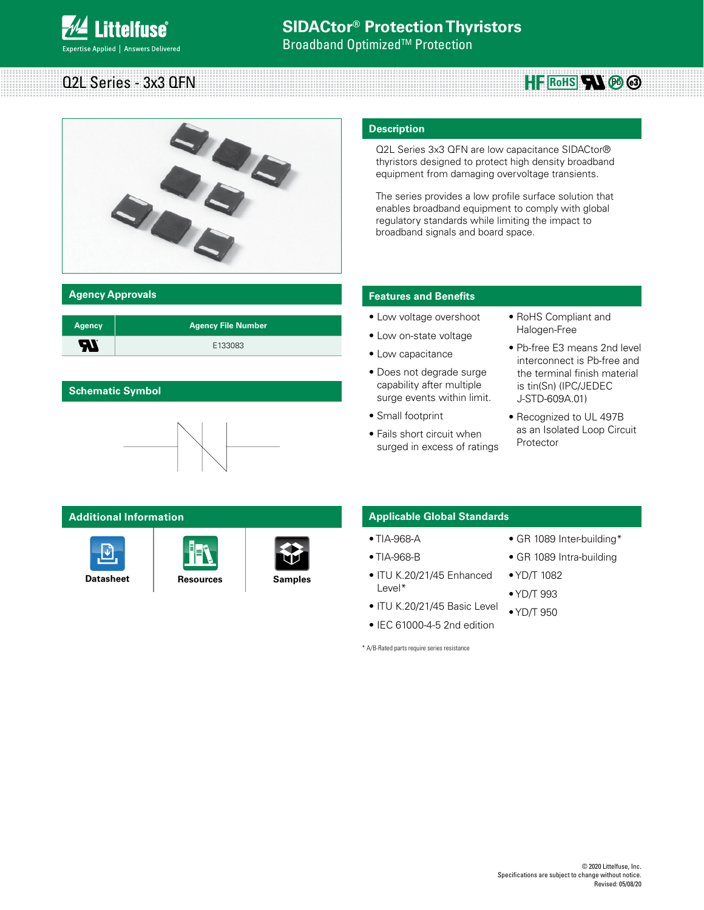

**Broadband Optimized™ Protection** 

# Q2L Series - 3x3 QFN



| <b>Agency</b> | <b>Agency File Number</b> |
|---------------|---------------------------|
| 51            | E133083                   |

## **Schematic Symbol**



## **Additional Information**







## **Description**

Q2L Series 3x3 QFN are low capacitance SIDACtor® thyristors designed to protect high density broadband equipment from damaging overvoltage transients.

The series provides a low profile surface solution that enables broadband equipment to comply with global regulatory standards while limiting the impact to broadband signals and board space.

## **Agency Approvals Features and Benefits**

- Low voltage overshoot
- Low on-state voltage
- Low capacitance
- Does not degrade surge capability after multiple surge events within limit.
- Small footprint
- Fails short circuit when surged in excess of ratings
- RoHS Compliant and Halogen-Free
- Pb-free E3 means 2nd level interconnect is Pb-free and the terminal finish material is tin(Sn) (IPC/JEDEC J-STD-609A.01)

**HE RoHS WOO** 

• Recognized to UL 497B as an Isolated Loop Circuit Protector

## **Applicable Global Standards**

- TIA-968-A
- TIA-968-B
- ITU K.20/21/45 Enhanced Level\*
- ITU K.20/21/45 Basic Level
- IEC 61000-4-5 2nd edition

\* A/B-Rated parts require series resistance

- GR 1089 Inter-building\*
- GR 1089 Intra-building
- YD/T 1082
- YD/T 993
- YD/T 950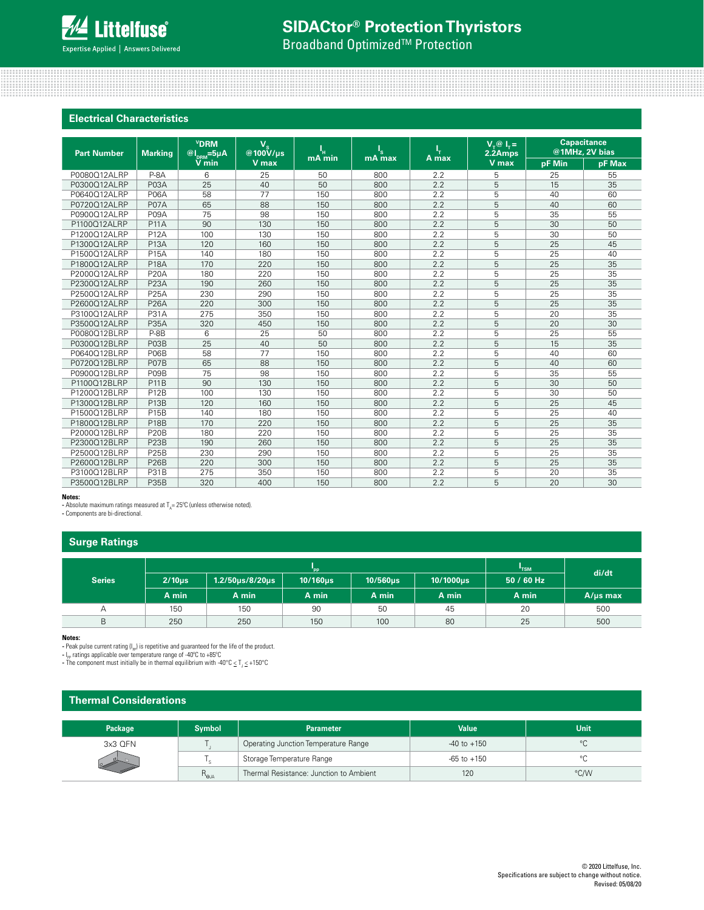## **SIDACtor® Protection Thyristors**

**Broadband Optimized<sup>™</sup> Protection** 

## **Electrical Characteristics**

| <b>Part Number</b> | <b>Marking</b>    | <b>VDRM</b><br>$\overline{\omega I}_{\scriptscriptstyle \rm DRM}$ =5µA | $V_{\rm c}$<br>@100V/us | ц,     | ı's    |       | $V_\tau @ I_\tau =$<br>2.2Amps |               | <b>Capacitance</b><br>@1MHz, 2V bias |
|--------------------|-------------------|------------------------------------------------------------------------|-------------------------|--------|--------|-------|--------------------------------|---------------|--------------------------------------|
|                    |                   | $V$ min                                                                | V max                   | mA min | mA max | A max | V max                          | <b>pF Min</b> | pF Max                               |
| P0080Q12ALRP       | $P-8A$            | 6                                                                      | 25                      | 50     | 800    | 2.2   | 5                              | 25            | 55                                   |
| P0300Q12ALRP       | P03A              | 25                                                                     | 40                      | 50     | 800    | 2.2   | 5                              | 15            | 35                                   |
| P0640Q12ALRP       | <b>P06A</b>       | 58                                                                     | 77                      | 150    | 800    | 2.2   | 5                              | 40            | 60                                   |
| P0720Q12ALRP       | P07A              | 65                                                                     | 88                      | 150    | 800    | 2.2   | 5                              | 40            | 60                                   |
| P0900Q12ALRP       | P09A              | 75                                                                     | 98                      | 150    | 800    | 2.2   | 5                              | 35            | 55                                   |
| P1100Q12ALRP       | <b>P11A</b>       | 90                                                                     | 130                     | 150    | 800    | 2.2   | 5                              | 30            | 50                                   |
| P1200Q12ALRP       | <b>P12A</b>       | 100                                                                    | 130                     | 150    | 800    | 2.2   | 5                              | 30            | 50                                   |
| P1300Q12ALRP       | <b>P13A</b>       | 120                                                                    | 160                     | 150    | 800    | 2.2   | 5                              | 25            | 45                                   |
| P1500Q12ALRP       | <b>P15A</b>       | 140                                                                    | 180                     | 150    | 800    | 2.2   | 5                              | 25            | 40                                   |
| P1800Q12ALRP       | <b>P18A</b>       | 170                                                                    | 220                     | 150    | 800    | 2.2   | 5                              | 25            | 35                                   |
| P2000Q12ALRP       | <b>P20A</b>       | 180                                                                    | 220                     | 150    | 800    | 2.2   | 5                              | 25            | 35                                   |
| P2300Q12ALRP       | <b>P23A</b>       | 190                                                                    | 260                     | 150    | 800    | 2.2   | 5                              | 25            | 35                                   |
| P2500Q12ALRP       | <b>P25A</b>       | 230                                                                    | 290                     | 150    | 800    | 2.2   | 5                              | 25            | 35                                   |
| P2600Q12ALRP       | <b>P26A</b>       | 220                                                                    | 300                     | 150    | 800    | 2.2   | 5                              | 25            | 35                                   |
| P3100Q12ALRP       | <b>P31A</b>       | 275                                                                    | 350                     | 150    | 800    | 2.2   | 5                              | 20            | 35                                   |
| P3500Q12ALRP       | <b>P35A</b>       | 320                                                                    | 450                     | 150    | 800    | 2.2   | 5                              | 20            | 30                                   |
| P0080Q12BLRP       | $P-8B$            | 6                                                                      | 25                      | 50     | 800    | 2.2   | 5                              | 25            | 55                                   |
| P0300Q12BLRP       | P03B              | 25                                                                     | 40                      | 50     | 800    | 2.2   | 5                              | 15            | 35                                   |
| P0640Q12BLRP       | P06B              | 58                                                                     | 77                      | 150    | 800    | 2.2   | 5                              | 40            | 60                                   |
| P0720Q12BLRP       | P07B              | 65                                                                     | 88                      | 150    | 800    | 2.2   | 5                              | 40            | 60                                   |
| P0900Q12BLRP       | P09B              | 75                                                                     | 98                      | 150    | 800    | 2.2   | 5                              | 35            | 55                                   |
| P1100Q12BLRP       | <b>P11B</b>       | 90                                                                     | 130                     | 150    | 800    | 2.2   | 5                              | 30            | 50                                   |
| P1200Q12BLRP       | <b>P12B</b>       | 100                                                                    | 130                     | 150    | 800    | 2.2   | 5                              | 30            | 50                                   |
| P1300Q12BLRP       | P <sub>13</sub> B | 120                                                                    | 160                     | 150    | 800    | 2.2   | 5                              | 25            | 45                                   |
| P1500Q12BLRP       | P15B              | 140                                                                    | 180                     | 150    | 800    | 2.2   | 5                              | 25            | 40                                   |
| P1800Q12BLRP       | <b>P18B</b>       | 170                                                                    | 220                     | 150    | 800    | 2.2   | 5                              | 25            | 35                                   |
| P2000Q12BLRP       | <b>P20B</b>       | 180                                                                    | 220                     | 150    | 800    | 2.2   | 5                              | 25            | 35                                   |
| P2300Q12BLRP       | P <sub>23</sub> B | 190                                                                    | 260                     | 150    | 800    | 2.2   | 5                              | 25            | 35                                   |
| P2500Q12BLRP       | <b>P25B</b>       | 230                                                                    | 290                     | 150    | 800    | 2.2   | 5                              | 25            | 35                                   |
| P2600Q12BLRP       | <b>P26B</b>       | 220                                                                    | 300                     | 150    | 800    | 2.2   | 5                              | 25            | 35                                   |
| P3100Q12BLRP       | <b>P31B</b>       | 275                                                                    | 350                     | 150    | 800    | 2.2   | 5                              | 20            | 35                                   |
| P3500Q12BLRP       | <b>P35B</b>       | 320                                                                    | 400                     | 150    | 800    | 2.2   | 5                              | 20            | 30                                   |

#### **Notes:**

- Absolute maximum ratings measured at  $T_A = 25^{\circ}$ C (unless otherwise noted).

**-** Components are bi-directional.

## **Surge Ratings**

| .             |             |                           |               |               |                  |            |               |
|---------------|-------------|---------------------------|---------------|---------------|------------------|------------|---------------|
|               |             |                           | <b>TSM</b>    | di/dt         |                  |            |               |
| <b>Series</b> | $2/10\mu s$ | $1.2/50 \mu s/8/20 \mu s$ | $10/160\mu s$ | $10/560\mu s$ | $10/1000\,\mu s$ | 50 / 60 Hz |               |
|               | A min       | A min                     | A min         | A min         | A min            | A min      | $A/\mu s$ max |
| Α             | 150         | 150                       | 90            | 50            | 45               | 20         | 500           |
| B             | 250         | 250                       | 150           | 100           | 80               | 25         | 500           |

### **Notes:**

- Peak pulse current rating (I<sub>PP</sub>) is repetitive and guaranteed for the life of the product.<br>- I<sub>PP</sub> ratings applicable over temperature range of -40°C to +85°C<br>- The component must initially be in thermal equilibrium wi

## **Thermal Considerations**

| Package | <b>Symbol</b>    | <b>Parameter</b>                        | <b>Value</b>    | Unit         |
|---------|------------------|-----------------------------------------|-----------------|--------------|
| 3x3 QFN |                  | Operating Junction Temperature Range    | $-40$ to $+150$ | $\circ$<br>◡ |
|         |                  | Storage Temperature Range               | $-65$ to $+150$ | $\circ$      |
|         | $R_{\Theta J^2}$ | Thermal Resistance: Junction to Ambient | 120             | °C/W         |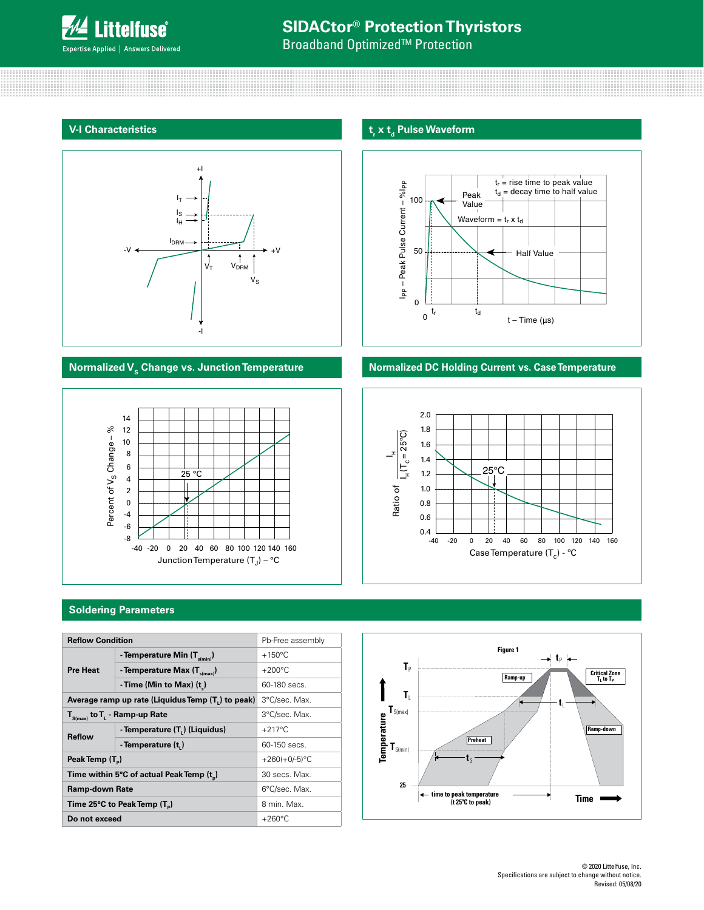

**Broadband Optimized<sup>™</sup> Protection** 

## **V-I Characteristics**





## **t**<sub>r</sub> x t<sub>d</sub> Pulse Waveform



## **Normalized V<sub>s</sub> Change vs. Junction Temperature <b>Normalized DC Holding Current vs. Case Temperature**



## **Soldering Parameters**

| <b>Reflow Condition</b>                       |                                                   | Pb-Free assembly |  |  |
|-----------------------------------------------|---------------------------------------------------|------------------|--|--|
| <b>Pre Heat</b>                               | - Temperature Min $(T_{s(min)})$                  | $+150^{\circ}$ C |  |  |
|                                               | - Temperature Max $(T_{s(max)})$                  | $+200^{\circ}$ C |  |  |
|                                               | -Time (Min to Max) $(t_1)$                        | 60-180 secs.     |  |  |
|                                               | Average ramp up rate (Liquidus Temp (T,) to peak) | 3°C/sec. Max.    |  |  |
| $T_{\text{S(max)}}$ to $T_{L}$ - Ramp-up Rate | 3°C/sec. Max.                                     |                  |  |  |
| <b>Reflow</b>                                 | - Temperature (T.) (Liquidus)                     | $+217^{\circ}$ C |  |  |
|                                               | - Temperature (t,)                                | 60-150 secs.     |  |  |
| Peak Temp (T <sub>a</sub> )                   |                                                   | $+260(+0/-5)$ °C |  |  |
|                                               | Time within 5°C of actual Peak Temp (t)           | 30 secs. Max.    |  |  |
| <b>Ramp-down Rate</b>                         |                                                   | 6°C/sec. Max.    |  |  |
|                                               | Time 25°C to Peak Temp (T <sub>n</sub> )          | 8 min. Max.      |  |  |
| Do not exceed                                 |                                                   | $+260^{\circ}$ C |  |  |

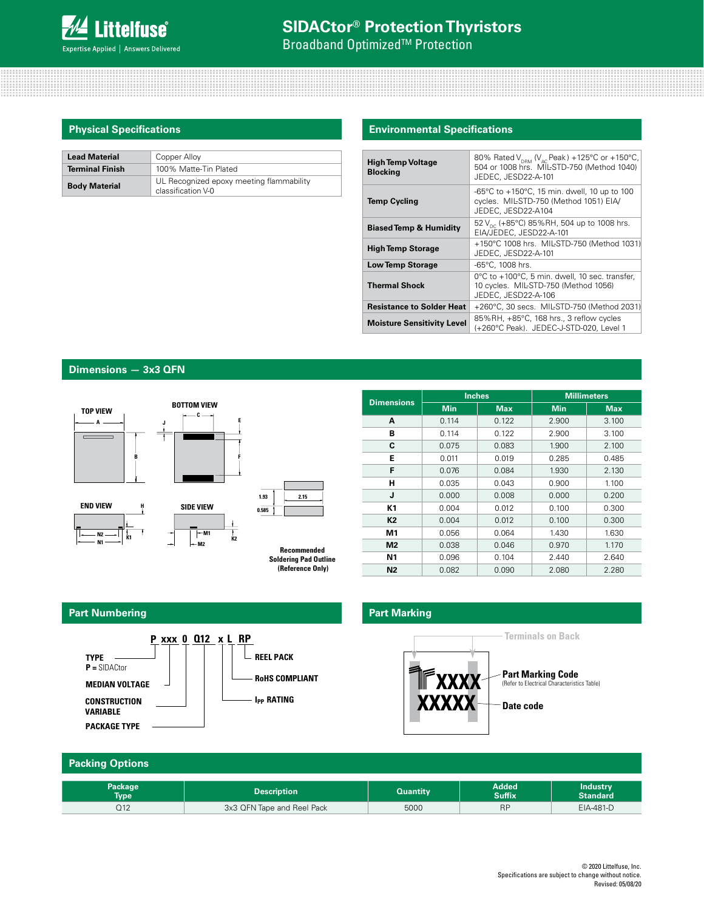

**Broadband Optimized<sup>™</sup> Protection** 

| <b>Lead Material</b>   | Copper Alloy                                                   |
|------------------------|----------------------------------------------------------------|
| <b>Terminal Finish</b> | 100% Matte-Tin Plated                                          |
| <b>Body Material</b>   | UL Recognized epoxy meeting flammability<br>classification V-0 |

## **Physical Specifications Environmental Specifications**

| <b>High Temp Voltage</b><br><b>Blocking</b> | 80% Rated $V_{DBM}$ (V <sub>AC</sub> Peak) +125°C or +150°C,<br>504 or 1008 hrs. MIL-STD-750 (Method 1040)<br>JEDEC. JESD22-A-101 |
|---------------------------------------------|-----------------------------------------------------------------------------------------------------------------------------------|
| <b>Temp Cycling</b>                         | -65°C to +150°C, 15 min. dwell, 10 up to 100<br>cycles. MIL-STD-750 (Method 1051) EIA/<br>JEDEC, JESD22-A104                      |
| <b>Biased Temp &amp; Humidity</b>           | 52 V <sub>pc</sub> (+85°C) 85%RH, 504 up to 1008 hrs.<br>EIA/JEDEC, JESD22-A-101                                                  |
| <b>High Temp Storage</b>                    | +150°C 1008 hrs. MIL-STD-750 (Method 1031)<br>JEDEC. JESD22-A-101                                                                 |
| <b>Low Temp Storage</b>                     | -65°C, 1008 hrs.                                                                                                                  |
| <b>Thermal Shock</b>                        | 0°C to +100°C, 5 min. dwell, 10 sec. transfer,<br>10 cycles. MIL-STD-750 (Method 1056)<br>JEDEC, JESD22-A-106                     |
| <b>Resistance to Solder Heat</b>            | +260°C, 30 secs. MIL-STD-750 (Method 2031)                                                                                        |
| <b>Moisture Sensitivity Level</b>           | 85%RH, +85°C, 168 hrs., 3 reflow cycles<br>(+260°C Peak). JEDEC-J-STD-020, Level 1                                                |

## **Dimensions — 3x3 QFN**



| <b>Dimensions</b> |            | <b>Inches</b> | <b>Millimeters</b> |       |  |
|-------------------|------------|---------------|--------------------|-------|--|
|                   | <b>Min</b> | <b>Max</b>    | <b>Min</b>         | Max.  |  |
| A                 | 0.114      | 0.122         | 2.900              | 3.100 |  |
| в                 | 0.114      | 0.122         | 2.900              | 3.100 |  |
| C                 | 0.075      | 0.083         | 1.900              | 2.100 |  |
| Е                 | 0.011      | 0.019         | 0.285              | 0.485 |  |
| F                 | 0.076      | 0.084         | 1.930              | 2.130 |  |
| н                 | 0.035      | 0.043         | 0.900              | 1.100 |  |
| J                 | 0.000      | 0.008         | 0.000              | 0.200 |  |
| K1                | 0.004      | 0.012         | 0.100              | 0.300 |  |
| K2                | 0.004      | 0.012         | 0.100              | 0.300 |  |
| М1                | 0.056      | 0.064         | 1.430              | 1.630 |  |
| M <sub>2</sub>    | 0.038      | 0.046         | 0.970              | 1.170 |  |
| Ν1                | 0.096      | 0.104         | 2.440              | 2.640 |  |
| N2                | 0.082      | 0.090         | 2.080              | 2.280 |  |

## **Part Numbering**



## **Part Marking**



| <b>Packing Options</b> |                            |                 |                               |                                    |
|------------------------|----------------------------|-----------------|-------------------------------|------------------------------------|
| Package<br><b>Type</b> | <b>Description</b>         | <b>Quantity</b> | <b>Added</b><br><b>Suffix</b> | <b>Industry</b><br><b>Standard</b> |
| Q12                    | 3x3 QFN Tape and Reel Pack | 5000            | <b>RP</b>                     | EIA-481-D                          |